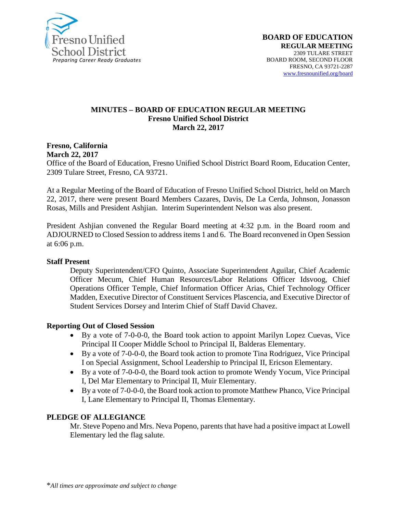

#### **MINUTES – BOARD OF EDUCATION REGULAR MEETING Fresno Unified School District March 22, 2017**

#### **Fresno, California March 22, 2017**

Office of the Board of Education, Fresno Unified School District Board Room, Education Center, 2309 Tulare Street, Fresno, CA 93721.

At a Regular Meeting of the Board of Education of Fresno Unified School District, held on March 22, 2017, there were present Board Members Cazares, Davis, De La Cerda, Johnson, Jonasson Rosas, Mills and President Ashjian. Interim Superintendent Nelson was also present.

President Ashjian convened the Regular Board meeting at 4:32 p.m. in the Board room and ADJOURNED to Closed Session to address items 1 and 6. The Board reconvened in Open Session at 6:06 p.m.

### **Staff Present**

Deputy Superintendent/CFO Quinto, Associate Superintendent Aguilar, Chief Academic Officer Mecum, Chief Human Resources/Labor Relations Officer Idsvoog, Chief Operations Officer Temple, Chief Information Officer Arias, Chief Technology Officer Madden, Executive Director of Constituent Services Plascencia, and Executive Director of Student Services Dorsey and Interim Chief of Staff David Chavez.

### **Reporting Out of Closed Session**

- By a vote of 7-0-0-0, the Board took action to appoint Marilyn Lopez Cuevas, Vice Principal II Cooper Middle School to Principal II, Balderas Elementary.
- By a vote of 7-0-0-0, the Board took action to promote Tina Rodriguez, Vice Principal I on Special Assignment, School Leadership to Principal II, Ericson Elementary.
- By a vote of 7-0-0-0, the Board took action to promote Wendy Yocum, Vice Principal I, Del Mar Elementary to Principal II, Muir Elementary.
- By a vote of 7-0-0-0, the Board took action to promote Matthew Phanco, Vice Principal I, Lane Elementary to Principal II, Thomas Elementary.

### **PLEDGE OF ALLEGIANCE**

Mr. Steve Popeno and Mrs. Neva Popeno, parents that have had a positive impact at Lowell Elementary led the flag salute.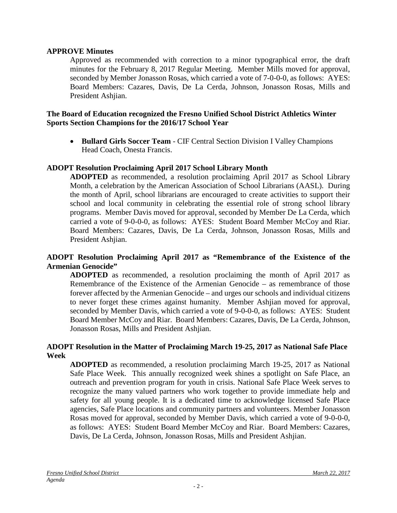### **APPROVE Minutes**

Approved as recommended with correction to a minor typographical error, the draft minutes for the February 8, 2017 Regular Meeting. Member Mills moved for approval, seconded by Member Jonasson Rosas, which carried a vote of 7-0-0-0, as follows: AYES: Board Members: Cazares, Davis, De La Cerda, Johnson, Jonasson Rosas, Mills and President Ashjian.

### **The Board of Education recognized the Fresno Unified School District Athletics Winter Sports Section Champions for the 2016/17 School Year**

• **Bullard Girls Soccer Team** - CIF Central Section Division I Valley Champions Head Coach, Onesta Francis.

#### **ADOPT Resolution Proclaiming April 2017 School Library Month**

**ADOPTED** as recommended, a resolution proclaiming April 2017 as School Library Month, a celebration by the American Association of School Librarians (AASL). During the month of April, school librarians are encouraged to create activities to support their school and local community in celebrating the essential role of strong school library programs. Member Davis moved for approval, seconded by Member De La Cerda, which carried a vote of 9-0-0-0, as follows: AYES: Student Board Member McCoy and Riar. Board Members: Cazares, Davis, De La Cerda, Johnson, Jonasson Rosas, Mills and President Ashjian.

### **ADOPT Resolution Proclaiming April 2017 as "Remembrance of the Existence of the Armenian Genocide"**

**ADOPTED** as recommended, a resolution proclaiming the month of April 2017 as Remembrance of the Existence of the Armenian Genocide – as remembrance of those forever affected by the Armenian Genocide – and urges our schools and individual citizens to never forget these crimes against humanity. Member Ashjian moved for approval, seconded by Member Davis, which carried a vote of 9-0-0-0, as follows: AYES: Student Board Member McCoy and Riar. Board Members: Cazares, Davis, De La Cerda, Johnson, Jonasson Rosas, Mills and President Ashjian.

#### **ADOPT Resolution in the Matter of Proclaiming March 19-25, 2017 as National Safe Place Week**

**ADOPTED** as recommended, a resolution proclaiming March 19-25, 2017 as National Safe Place Week. This annually recognized week shines a spotlight on Safe Place, an outreach and prevention program for youth in crisis. National Safe Place Week serves to recognize the many valued partners who work together to provide immediate help and safety for all young people. It is a dedicated time to acknowledge licensed Safe Place agencies, Safe Place locations and community partners and volunteers. Member Jonasson Rosas moved for approval, seconded by Member Davis, which carried a vote of 9-0-0-0, as follows: AYES: Student Board Member McCoy and Riar. Board Members: Cazares, Davis, De La Cerda, Johnson, Jonasson Rosas, Mills and President Ashjian.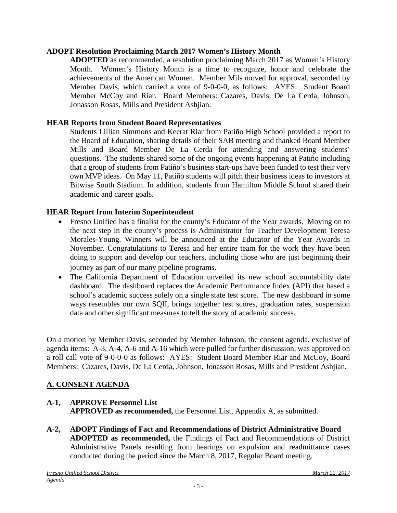## **ADOPT Resolution Proclaiming March 2017 Women's History Month**

**ADOPTED** as recommended, a resolution proclaiming March 2017 as Women's History Month. Women's History Month is a time to recognize, honor and celebrate the achievements of the American Women. Member Mils moved for approval, seconded by Member Davis, which carried a vote of 9-0-0-0, as follows: AYES: Student Board Member McCoy and Riar. Board Members: Cazares, Davis, De La Cerda, Johnson, Jonasson Rosas, Mills and President Ashjian.

## **HEAR Reports from Student Board Representatives**

Students Lillian Simmons and Keerat Riar from Patiño High School provided a report to the Board of Education, sharing details of their SAB meeting and thanked Board Member Mills and Board Member De La Cerda for attending and answering students' questions. The students shared some of the ongoing events happening at Patiño including that a group of students from Patiño's business start-ups have been funded to test their very own MVP ideas. On May 11, Patiño students will pitch their business ideas to investors at Bitwise South Stadium. In addition, students from Hamilton Middle School shared their academic and career goals.

## **HEAR Report from Interim Superintendent**

- Fresno Unified has a finalist for the county's Educator of the Year awards. Moving on to the next step in the county's process is Administrator for Teacher Development Teresa Morales-Young. Winners will be announced at the Educator of the Year Awards in November. Congratulations to Teresa and her entire team for the work they have been doing to support and develop our teachers, including those who are just beginning their journey as part of our many pipeline programs.
- The California Department of Education unveiled its new school accountability data dashboard. The dashboard replaces the Academic Performance Index (API) that based a school's academic success solely on a single state test score. The new dashboard in some ways resembles our own SQII, brings together test scores, graduation rates, suspension data and other significant measures to tell the story of academic success.

On a motion by Member Davis, seconded by Member Johnson, the consent agenda, exclusive of agenda items: A-3, A-4, A-6 and A-16 which were pulled for further discussion, was approved on a roll call vote of 9-0-0-0 as follows: AYES: Student Board Member Riar and McCoy, Board Members: Cazares, Davis, De La Cerda, Johnson, Jonasson Rosas, Mills and President Ashjian.

# **A. CONSENT AGENDA**

## **A-1, APPROVE Personnel List APPROVED as recommended,** the Personnel List, Appendix A, as submitted.

**A-2, ADOPT Findings of Fact and Recommendations of District Administrative Board ADOPTED as recommended,** the Findings of Fact and Recommendations of District Administrative Panels resulting from hearings on expulsion and readmittance cases conducted during the period since the March 8, 2017, Regular Board meeting.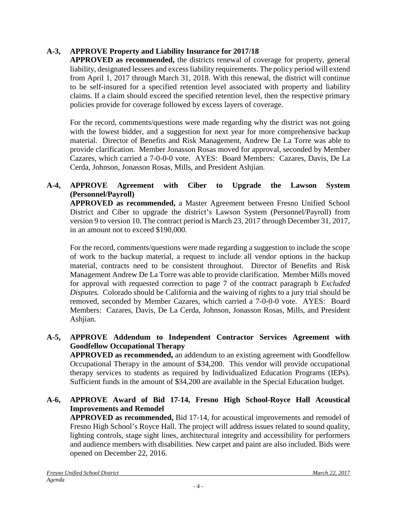# **A-3, APPROVE Property and Liability Insurance for 2017/18**

**APPROVED as recommended,** the districts renewal of coverage for property, general liability, designated lessees and excess liability requirements. The policy period will extend from April 1, 2017 through March 31, 2018. With this renewal, the district will continue to be self-insured for a specified retention level associated with property and liability claims. If a claim should exceed the specified retention level, then the respective primary policies provide for coverage followed by excess layers of coverage.

For the record, comments/questions were made regarding why the district was not going with the lowest bidder, and a suggestion for next year for more comprehensive backup material. Director of Benefits and Risk Management, Andrew De La Torre was able to provide clarification. Member Jonasson Rosas moved for approval, seconded by Member Cazares, which carried a 7-0-0-0 vote. AYES: Board Members: Cazares, Davis, De La Cerda, Johnson, Jonasson Rosas, Mills, and President Ashjian.

# **A-4, APPROVE Agreement with Ciber to Upgrade the Lawson System (Personnel/Payroll)**

**APPROVED as recommended,** a Master Agreement between Fresno Unified School District and Ciber to upgrade the district's Lawson System (Personnel/Payroll) from version 9 to version 10. The contract period is March 23, 2017 through December 31, 2017, in an amount not to exceed \$190,000.

For the record, comments/questions were made regarding a suggestion to include the scope of work to the backup material, a request to include all vendor options in the backup material, contracts need to be consistent throughout. Director of Benefits and Risk Management Andrew De La Torre was able to provide clarification. Member Mills moved for approval with requested correction to page 7 of the contract paragraph b *Excluded Disputes.* Colorado should be California and the waiving of rights to a jury trial should be removed, seconded by Member Cazares, which carried a 7-0-0-0 vote. AYES: Board Members: Cazares, Davis, De La Cerda, Johnson, Jonasson Rosas, Mills, and President Ashjian.

# **A-5, APPROVE Addendum to Independent Contractor Services Agreement with Goodfellow Occupational Therapy**

**APPROVED as recommended,** an addendum to an existing agreement with Goodfellow Occupational Therapy in the amount of \$34,200. This vendor will provide occupational therapy services to students as required by Individualized Education Programs (IEPs). Sufficient funds in the amount of \$34,200 are available in the Special Education budget.

# **A-6, APPROVE Award of Bid 17-14, Fresno High School-Royce Hall Acoustical Improvements and Remodel**

**APPROVED as recommended,** Bid 17-14, for acoustical improvements and remodel of Fresno High School's Royce Hall. The project will address issues related to sound quality, lighting controls, stage sight lines, architectural integrity and accessibility for performers and audience members with disabilities. New carpet and paint are also included. Bids were opened on December 22, 2016.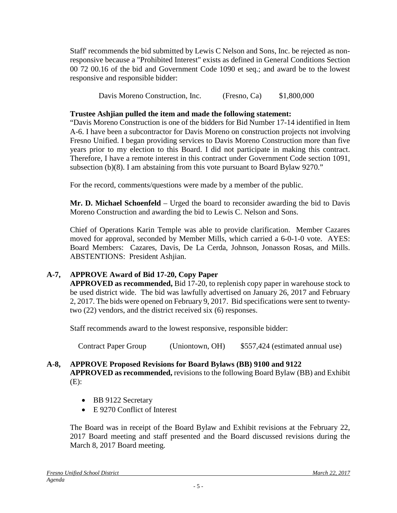Staff' recommends the bid submitted by Lewis C Nelson and Sons, Inc. be rejected as nonresponsive because a "Prohibited Interest" exists as defined in General Conditions Section 00 72 00.16 of the bid and Government Code 1090 et seq.; and award be to the lowest responsive and responsible bidder:

Davis Moreno Construction, Inc. (Fresno, Ca) \$1,800,000

# **Trustee Ashjian pulled the item and made the following statement:**

"Davis Moreno Construction is one of the bidders for Bid Number 17-14 identified in Item A-6. I have been a subcontractor for Davis Moreno on construction projects not involving Fresno Unified. I began providing services to Davis Moreno Construction more than five years prior to my election to this Board. I did not participate in making this contract. Therefore, I have a remote interest in this contract under Government Code section 1091, subsection (b)(8). I am abstaining from this vote pursuant to Board Bylaw 9270."

For the record, comments/questions were made by a member of the public.

**Mr. D. Michael Schoenfeld** – Urged the board to reconsider awarding the bid to Davis Moreno Construction and awarding the bid to Lewis C. Nelson and Sons.

Chief of Operations Karin Temple was able to provide clarification. Member Cazares moved for approval, seconded by Member Mills, which carried a 6-0-1-0 vote. AYES: Board Members: Cazares, Davis, De La Cerda, Johnson, Jonasson Rosas, and Mills. ABSTENTIONS: President Ashjian.

# **A-7, APPROVE Award of Bid 17-20, Copy Paper**

**APPROVED as recommended,** Bid 17-20, to replenish copy paper in warehouse stock to be used district wide. The bid was lawfully advertised on January 26, 2017 and February 2, 2017. The bids were opened on February 9, 2017. Bid specifications were sent to twentytwo (22) vendors, and the district received six (6) responses.

Staff recommends award to the lowest responsive, responsible bidder:

Contract Paper Group (Uniontown, OH) \$557,424 (estimated annual use)

# **A-8, APPROVE Proposed Revisions for Board Bylaws (BB) 9100 and 9122**

**APPROVED as recommended,** revisions to the following Board Bylaw (BB) and Exhibit (E):

- BB 9122 Secretary
- E 9270 Conflict of Interest

The Board was in receipt of the Board Bylaw and Exhibit revisions at the February 22, 2017 Board meeting and staff presented and the Board discussed revisions during the March 8, 2017 Board meeting.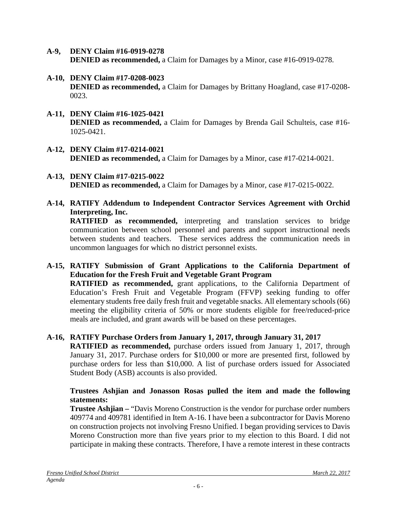- **A-9, DENY Claim #16-0919-0278 DENIED as recommended,** a Claim for Damages by a Minor, case #16-0919-0278.
- **A-10, DENY Claim #17-0208-0023 DENIED as recommended,** a Claim for Damages by Brittany Hoagland, case #17-0208- 0023.
- **A-11, DENY Claim #16-1025-0421 DENIED as recommended,** a Claim for Damages by Brenda Gail Schulteis, case #16- 1025-0421.
- **A-12, DENY Claim #17-0214-0021 DENIED as recommended,** a Claim for Damages by a Minor, case #17-0214-0021.
- **A-13, DENY Claim #17-0215-0022 DENIED as recommended,** a Claim for Damages by a Minor, case #17-0215-0022.
- **A-14, RATIFY Addendum to Independent Contractor Services Agreement with Orchid Interpreting, Inc. RATIFIED as recommended,** interpreting and translation services to bridge communication between school personnel and parents and support instructional needs between students and teachers. These services address the communication needs in uncommon languages for which no district personnel exists.

**A-15, RATIFY Submission of Grant Applications to the California Department of Education for the Fresh Fruit and Vegetable Grant Program RATIFIED as recommended,** grant applications, to the California Department of Education's Fresh Fruit and Vegetable Program (FFVP) seeking funding to offer elementary students free daily fresh fruit and vegetable snacks. All elementary schools (66) meeting the eligibility criteria of 50% or more students eligible for free/reduced-price meals are included, and grant awards will be based on these percentages.

**A-16, RATIFY Purchase Orders from January 1, 2017, through January 31, 2017**

**RATIFIED as recommended,** purchase orders issued from January 1, 2017, through January 31, 2017. Purchase orders for \$10,000 or more are presented first, followed by purchase orders for less than \$10,000. A list of purchase orders issued for Associated Student Body (ASB) accounts is also provided.

# **Trustees Ashjian and Jonasson Rosas pulled the item and made the following statements:**

**Trustee Ashjian –** "Davis Moreno Construction is the vendor for purchase order numbers 409774 and 409781 identified in Item A-16. I have been a subcontractor for Davis Moreno on construction projects not involving Fresno Unified. I began providing services to Davis Moreno Construction more than five years prior to my election to this Board. I did not participate in making these contracts. Therefore, I have a remote interest in these contracts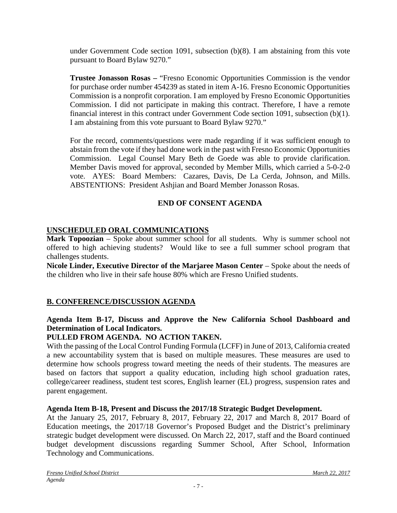under Government Code section 1091, subsection (b)(8). I am abstaining from this vote pursuant to Board Bylaw 9270."

**Trustee Jonasson Rosas –** "Fresno Economic Opportunities Commission is the vendor for purchase order number 454239 as stated in item A-16. Fresno Economic Opportunities Commission is a nonprofit corporation. I am employed by Fresno Economic Opportunities Commission. I did not participate in making this contract. Therefore, I have a remote financial interest in this contract under Government Code section 1091, subsection (b)(1). I am abstaining from this vote pursuant to Board Bylaw 9270."

For the record, comments/questions were made regarding if it was sufficient enough to abstain from the vote if they had done work in the past with Fresno Economic Opportunities Commission. Legal Counsel Mary Beth de Goede was able to provide clarification. Member Davis moved for approval, seconded by Member Mills, which carried a 5-0-2-0 vote. AYES: Board Members: Cazares, Davis, De La Cerda, Johnson, and Mills. ABSTENTIONS: President Ashjian and Board Member Jonasson Rosas.

# **END OF CONSENT AGENDA**

# **UNSCHEDULED ORAL COMMUNICATIONS**

**Mark Topoozian** – Spoke about summer school for all students. Why is summer school not offered to high achieving students? Would like to see a full summer school program that challenges students.

**Nicole Linder, Executive Director of the Marjaree Mason Center** – Spoke about the needs of the children who live in their safe house 80% which are Fresno Unified students.

# **B. CONFERENCE/DISCUSSION AGENDA**

## **Agenda Item B-17, Discuss and Approve the New California School Dashboard and Determination of Local Indicators.**

# **PULLED FROM AGENDA. NO ACTION TAKEN.**

With the passing of the Local Control Funding Formula (LCFF) in June of 2013, California created a new accountability system that is based on multiple measures. These measures are used to determine how schools progress toward meeting the needs of their students. The measures are based on factors that support a quality education, including high school graduation rates, college/career readiness, student test scores, English learner (EL) progress, suspension rates and parent engagement.

### **Agenda Item B-18, Present and Discuss the 2017/18 Strategic Budget Development.**

At the January 25, 2017, February 8, 2017, February 22, 2017 and March 8, 2017 Board of Education meetings, the 2017/18 Governor's Proposed Budget and the District's preliminary strategic budget development were discussed. On March 22, 2017, staff and the Board continued budget development discussions regarding Summer School, After School, Information Technology and Communications.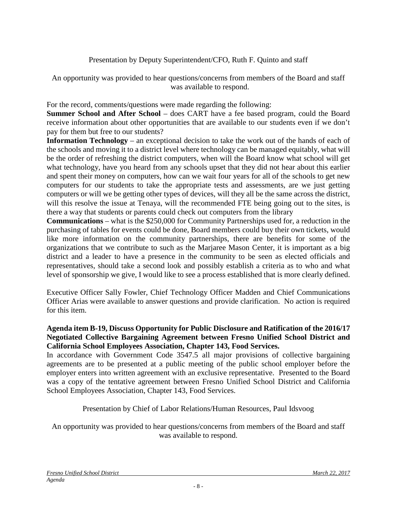# Presentation by Deputy Superintendent/CFO, Ruth F. Quinto and staff

An opportunity was provided to hear questions/concerns from members of the Board and staff was available to respond.

For the record, comments/questions were made regarding the following:

**Summer School and After School** – does CART have a fee based program, could the Board receive information about other opportunities that are available to our students even if we don't pay for them but free to our students?

**Information Technology** – an exceptional decision to take the work out of the hands of each of the schools and moving it to a district level where technology can be managed equitably, what will be the order of refreshing the district computers, when will the Board know what school will get what technology, have you heard from any schools upset that they did not hear about this earlier and spent their money on computers, how can we wait four years for all of the schools to get new computers for our students to take the appropriate tests and assessments, are we just getting computers or will we be getting other types of devices, will they all be the same across the district, will this resolve the issue at Tenaya, will the recommended FTE being going out to the sites, is there a way that students or parents could check out computers from the library

**Communications** – what is the \$250,000 for Community Partnerships used for, a reduction in the purchasing of tables for events could be done, Board members could buy their own tickets, would like more information on the community partnerships, there are benefits for some of the organizations that we contribute to such as the Marjaree Mason Center, it is important as a big district and a leader to have a presence in the community to be seen as elected officials and representatives, should take a second look and possibly establish a criteria as to who and what level of sponsorship we give, I would like to see a process established that is more clearly defined.

Executive Officer Sally Fowler, Chief Technology Officer Madden and Chief Communications Officer Arias were available to answer questions and provide clarification. No action is required for this item.

## **Agenda item B-19, Discuss Opportunity for Public Disclosure and Ratification of the 2016/17 Negotiated Collective Bargaining Agreement between Fresno Unified School District and California School Employees Association, Chapter 143, Food Services.**

In accordance with Government Code 3547.5 all major provisions of collective bargaining agreements are to be presented at a public meeting of the public school employer before the employer enters into written agreement with an exclusive representative. Presented to the Board was a copy of the tentative agreement between Fresno Unified School District and California School Employees Association, Chapter 143, Food Services.

Presentation by Chief of Labor Relations/Human Resources, Paul Idsvoog

An opportunity was provided to hear questions/concerns from members of the Board and staff was available to respond.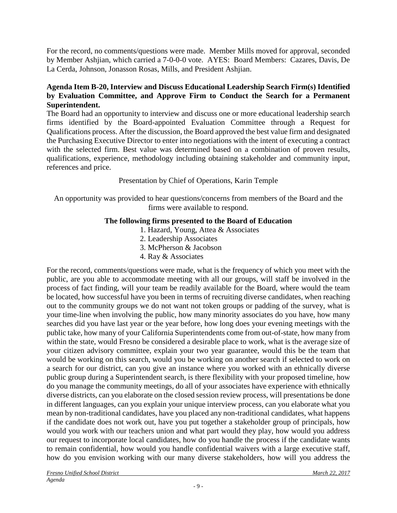For the record, no comments/questions were made. Member Mills moved for approval, seconded by Member Ashjian, which carried a 7-0-0-0 vote. AYES: Board Members: Cazares, Davis, De La Cerda, Johnson, Jonasson Rosas, Mills, and President Ashjian.

# **Agenda Item B-20, Interview and Discuss Educational Leadership Search Firm(s) Identified by Evaluation Committee, and Approve Firm to Conduct the Search for a Permanent Superintendent.**

The Board had an opportunity to interview and discuss one or more educational leadership search firms identified by the Board-appointed Evaluation Committee through a Request for Qualifications process. After the discussion, the Board approved the best value firm and designated the Purchasing Executive Director to enter into negotiations with the intent of executing a contract with the selected firm. Best value was determined based on a combination of proven results, qualifications, experience, methodology including obtaining stakeholder and community input, references and price.

# Presentation by Chief of Operations, Karin Temple

An opportunity was provided to hear questions/concerns from members of the Board and the firms were available to respond.

# **The following firms presented to the Board of Education**

- 1. Hazard, Young, Attea & Associates
- 2. Leadership Associates
- 3. McPherson & Jacobson
- 4. Ray & Associates

For the record, comments/questions were made, what is the frequency of which you meet with the public, are you able to accommodate meeting with all our groups, will staff be involved in the process of fact finding, will your team be readily available for the Board, where would the team be located, how successful have you been in terms of recruiting diverse candidates, when reaching out to the community groups we do not want not token groups or padding of the survey, what is your time-line when involving the public, how many minority associates do you have, how many searches did you have last year or the year before, how long does your evening meetings with the public take, how many of your California Superintendents come from out-of-state, how many from within the state, would Fresno be considered a desirable place to work, what is the average size of your citizen advisory committee, explain your two year guarantee, would this be the team that would be working on this search, would you be working on another search if selected to work on a search for our district, can you give an instance where you worked with an ethnically diverse public group during a Superintendent search, is there flexibility with your proposed timeline, how do you manage the community meetings, do all of your associates have experience with ethnically diverse districts, can you elaborate on the closed session review process, will presentations be done in different languages, can you explain your unique interview process, can you elaborate what you mean by non-traditional candidates, have you placed any non-traditional candidates, what happens if the candidate does not work out, have you put together a stakeholder group of principals, how would you work with our teachers union and what part would they play, how would you address our request to incorporate local candidates, how do you handle the process if the candidate wants to remain confidential, how would you handle confidential waivers with a large executive staff, how do you envision working with our many diverse stakeholders, how will you address the